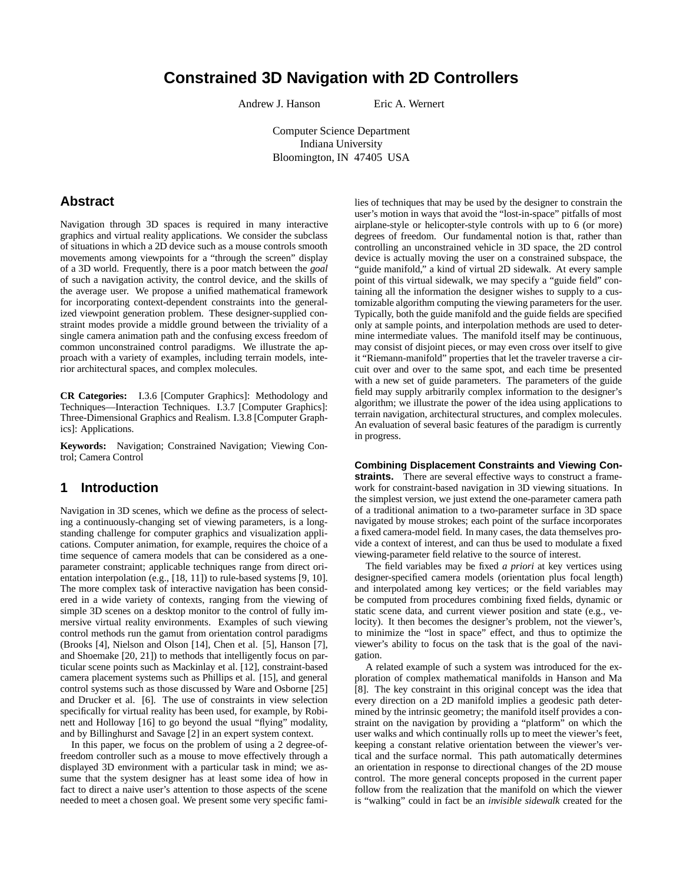# **Constrained 3D Navigation with 2D Controllers**

Andrew J. Hanson Eric A. Wernert

Computer Science Department Indiana University Bloomington, IN 47405 USA

#### **Abstract**

Navigation through 3D spaces is required in many interactive graphics and virtual reality applications. We consider the subclass of situations in which a 2D device such as a mouse controls smooth movements among viewpoints for a "through the screen" display of a 3D world. Frequently, there is a poor match between the *goal* of such a navigation activity, the control device, and the skills of the average user. We propose a unified mathematical framework for incorporating context-dependent constraints into the generalized viewpoint generation problem. These designer-supplied constraint modes provide a middle ground between the triviality of a single camera animation path and the confusing excess freedom of common unconstrained control paradigms. We illustrate the approach with a variety of examples, including terrain models, interior architectural spaces, and complex molecules.

**CR Categories:** I.3.6 [Computer Graphics]: Methodology and Techniques—Interaction Techniques. I.3.7 [Computer Graphics]: Three-Dimensional Graphics and Realism. I.3.8 [Computer Graphics]: Applications.

**Keywords:** Navigation; Constrained Navigation; Viewing Control; Camera Control

### **1 Introduction**

Navigation in 3D scenes, which we define as the process of selecting a continuously-changing set of viewing parameters, is a longstanding challenge for computer graphics and visualization applications. Computer animation, for example, requires the choice of a time sequence of camera models that can be considered as a oneparameter constraint; applicable techniques range from direct orientation interpolation (e.g., [18, 11]) to rule-based systems [9, 10]. The more complex task of interactive navigation has been considered in a wide variety of contexts, ranging from the viewing of simple 3D scenes on a desktop monitor to the control of fully immersive virtual reality environments. Examples of such viewing control methods run the gamut from orientation control paradigms (Brooks [4], Nielson and Olson [14], Chen et al. [5], Hanson [7], and Shoemake [20, 21]) to methods that intelligently focus on particular scene points such as Mackinlay et al. [12], constraint-based camera placement systems such as Phillips et al. [15], and general control systems such as those discussed by Ware and Osborne [25] and Drucker et al. [6]. The use of constraints in view selection specifically for virtual reality has been used, for example, by Robinett and Holloway [16] to go beyond the usual "flying" modality, and by Billinghurst and Savage [2] in an expert system context.

In this paper, we focus on the problem of using a 2 degree-offreedom controller such as a mouse to move effectively through a displayed 3D environment with a particular task in mind; we assume that the system designer has at least some idea of how in fact to direct a naive user's attention to those aspects of the scene needed to meet a chosen goal. We present some very specific families of techniques that may be used by the designer to constrain the user's motion in ways that avoid the "lost-in-space" pitfalls of most airplane-style or helicopter-style controls with up to 6 (or more) degrees of freedom. Our fundamental notion is that, rather than controlling an unconstrained vehicle in 3D space, the 2D control device is actually moving the user on a constrained subspace, the "guide manifold," a kind of virtual 2D sidewalk. At every sample point of this virtual sidewalk, we may specify a "guide field" containing all the information the designer wishes to supply to a customizable algorithm computing the viewing parameters for the user. Typically, both the guide manifold and the guide fields are specified only at sample points, and interpolation methods are used to determine intermediate values. The manifold itself may be continuous, may consist of disjoint pieces, or may even cross over itself to give it "Riemann-manifold" properties that let the traveler traverse a circuit over and over to the same spot, and each time be presented with a new set of guide parameters. The parameters of the guide field may supply arbitrarily complex information to the designer's algorithm; we illustrate the power of the idea using applications to terrain navigation, architectural structures, and complex molecules. An evaluation of several basic features of the paradigm is currently in progress.

**Combining Displacement Constraints and Viewing Constraints.** There are several effective ways to construct a framework for constraint-based navigation in 3D viewing situations. In the simplest version, we just extend the one-parameter camera path of a traditional animation to a two-parameter surface in 3D space navigated by mouse strokes; each point of the surface incorporates a fixed camera-model field. In many cases, the data themselves provide a context of interest, and can thus be used to modulate a fixed viewing-parameter field relative to the source of interest.

The field variables may be fixed *a priori* at key vertices using designer-specified camera models (orientation plus focal length) and interpolated among key vertices; or the field variables may be computed from procedures combining fixed fields, dynamic or static scene data, and current viewer position and state (e.g., velocity). It then becomes the designer's problem, not the viewer's, to minimize the "lost in space" effect, and thus to optimize the viewer's ability to focus on the task that is the goal of the navigation.

A related example of such a system was introduced for the exploration of complex mathematical manifolds in Hanson and Ma [8]. The key constraint in this original concept was the idea that every direction on a 2D manifold implies a geodesic path determined by the intrinsic geometry; the manifold itself provides a constraint on the navigation by providing a "platform" on which the user walks and which continually rolls up to meet the viewer's feet, keeping a constant relative orientation between the viewer's vertical and the surface normal. This path automatically determines an orientation in response to directional changes of the 2D mouse control. The more general concepts proposed in the current paper follow from the realization that the manifold on which the viewer is "walking" could in fact be an *invisible sidewalk* created for the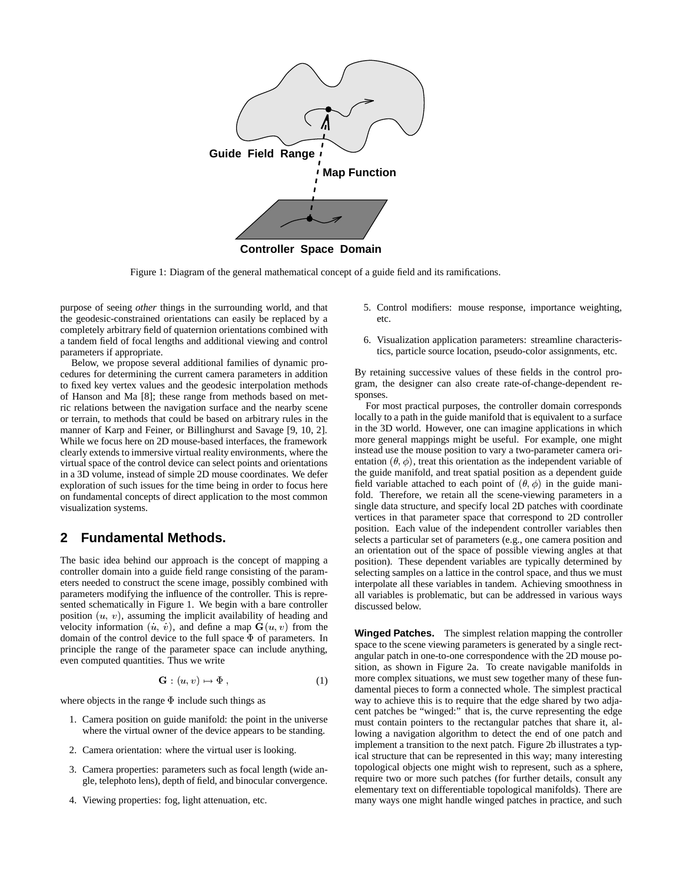

Figure 1: Diagram of the general mathematical concept of a guide field and its ramifications.

purpose of seeing *other* things in the surrounding world, and that the geodesic-constrained orientations can easily be replaced by a completely arbitrary field of quaternion orientations combined with a tandem field of focal lengths and additional viewing and control parameters if appropriate.

Below, we propose several additional families of dynamic procedures for determining the current camera parameters in addition to fixed key vertex values and the geodesic interpolation methods of Hanson and Ma [8]; these range from methods based on metric relations between the navigation surface and the nearby scene or terrain, to methods that could be based on arbitrary rules in the manner of Karp and Feiner, or Billinghurst and Savage [9, 10, 2]. While we focus here on 2D mouse-based interfaces, the framework clearly extends to immersive virtual reality environments, where the virtual space of the control device can select points and orientations in a 3D volume, instead of simple 2D mouse coordinates. We defer exploration of such issues for the time being in order to focus here on fundamental concepts of direct application to the most common visualization systems.

#### **2 Fundamental Methods.**

The basic idea behind our approach is the concept of mapping a controller domain into a guide field range consisting of the parameters needed to construct the scene image, possibly combined with parameters modifying the influence of the controller. This is represented schematically in Figure 1. We begin with a bare controller position  $(u, v)$ , assuming the implicit availability of heading and velocity information  $(u, v)$ , and define a map  $G(u, v)$  from the domain of the control device to the full space  $\Phi$  of parameters. In principle the range of the parameter space can include anything, even computed quantities. Thus we write

$$
\mathbf{G} : (u, v) \mapsto \Phi , \tag{1}
$$

where objects in the range  $\Phi$  include such things as

- 1. Camera position on guide manifold: the point in the universe where the virtual owner of the device appears to be standing.
- 2. Camera orientation: where the virtual user is looking.
- 3. Camera properties: parameters such as focal length (wide angle, telephoto lens), depth of field, and binocular convergence.
- 4. Viewing properties: fog, light attenuation, etc.
- 5. Control modifiers: mouse response, importance weighting, etc.
- 6. Visualization application parameters: streamline characteristics, particle source location, pseudo-color assignments, etc.

By retaining successive values of these fields in the control program, the designer can also create rate-of-change-dependent responses.

For most practical purposes, the controller domain corresponds locally to a path in the guide manifold that is equivalent to a surface in the 3D world. However, one can imagine applications in which more general mappings might be useful. For example, one might instead use the mouse position to vary a two-parameter camera orientation  $(\theta, \phi)$ , treat this orientation as the independent variable of the guide manifold, and treat spatial position as a dependent guide field variable attached to each point of  $(\theta, \phi)$  in the guide manifold. Therefore, we retain all the scene-viewing parameters in a single data structure, and specify local 2D patches with coordinate vertices in that parameter space that correspond to 2D controller position. Each value of the independent controller variables then selects a particular set of parameters (e.g., one camera position and an orientation out of the space of possible viewing angles at that position). These dependent variables are typically determined by selecting samples on a lattice in the control space, and thus we must interpolate all these variables in tandem. Achieving smoothness in all variables is problematic, but can be addressed in various ways discussed below.

**Winged Patches.** The simplest relation mapping the controller space to the scene viewing parameters is generated by a single rectangular patch in one-to-one correspondence with the 2D mouse position, as shown in Figure 2a. To create navigable manifolds in more complex situations, we must sew together many of these fundamental pieces to form a connected whole. The simplest practical way to achieve this is to require that the edge shared by two adjacent patches be "winged:" that is, the curve representing the edge must contain pointers to the rectangular patches that share it, allowing a navigation algorithm to detect the end of one patch and implement a transition to the next patch. Figure 2b illustrates a typical structure that can be represented in this way; many interesting topological objects one might wish to represent, such as a sphere, require two or more such patches (for further details, consult any elementary text on differentiable topological manifolds). There are many ways one might handle winged patches in practice, and such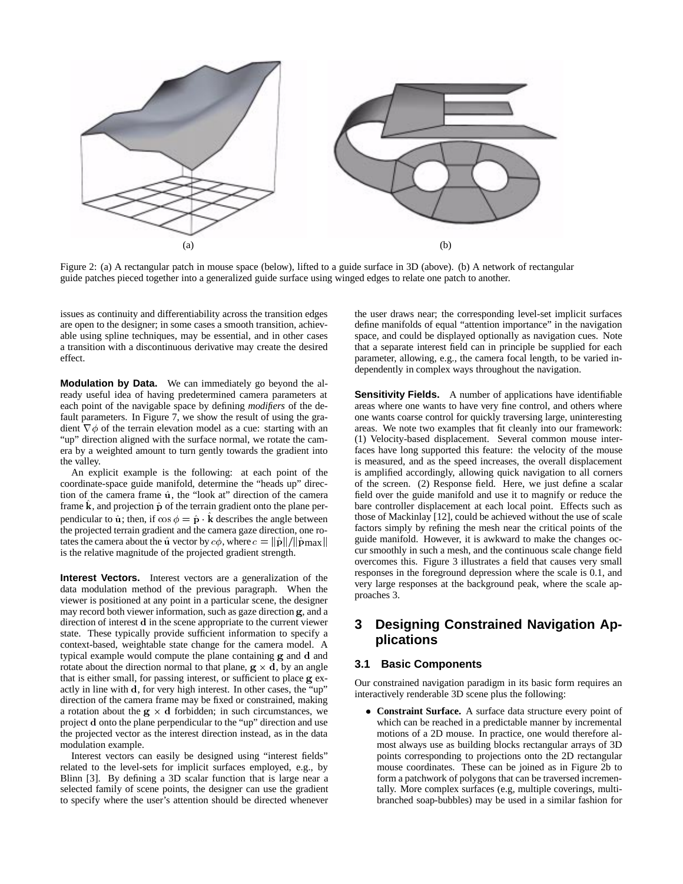

Figure 2: (a) A rectangular patch in mouse space (below), lifted to a guide surface in 3D (above). (b) A network of rectangular guide patches pieced together into a generalized guide surface using winged edges to relate one patch to another.

issues as continuity and differentiability across the transition edges are open to the designer; in some cases a smooth transition, achievable using spline techniques, may be essential, and in other cases a transition with a discontinuous derivative may create the desired effect.

**Modulation by Data.** We can immediately go beyond the already useful idea of having predetermined camera parameters at each point of the navigable space by defining *modifiers* of the default parameters. In Figure 7, we show the result of using the gradient  $\nabla \phi$  of the terrain elevation model as a cue: starting with an "up" direction aligned with the surface normal, we rotate the camera by a weighted amount to turn gently towards the gradient into the valley.

An explicit example is the following: at each point of the coordinate-space guide manifold, determine the "heads up" direction of the camera frame  $\hat{u}$ , the "look at" direction of the camera frame  $\bf{k}$ , and projection  $\hat{\bf{p}}$  of the terrain gradient onto the plane perpendicular to  $\hat{\mathbf{u}}$ ; then, if cos  $\phi = \hat{\mathbf{p}} \cdot \mathbf{k}$  describes the angle between the projected terrain gradient and the camera gaze direction, one rotates the camera about the  $\hat{\mathbf{u}}$  vector by  $c\phi$ , where  $c = ||\hat{\mathbf{p}}|| / ||\hat{\mathbf{p}}_{\text{max}}||$ is the relative magnitude of the projected gradient strength.

**Interest Vectors.** Interest vectors are a generalization of the data modulation method of the previous paragraph. When the viewer is positioned at any point in a particular scene, the designer may record both viewer information, such as gaze direction <sup>g</sup>, and a direction of interest <sup>d</sup> in the scene appropriate to the current viewer state. These typically provide sufficient information to specify a context-based, weightable state change for the camera model. A typical example would compute the plane containing <sup>g</sup> and <sup>d</sup> and rotate about the direction normal to that plane,  $g \times d$ , by an angle that is either small, for passing interest, or sufficient to place <sup>g</sup> exactly in line with <sup>d</sup>, for very high interest. In other cases, the "up" direction of the camera frame may be fixed or constrained, making a rotation about the  $g \times d$  forbidden; in such circumstances, we project <sup>d</sup> onto the plane perpendicular to the "up" direction and use the projected vector as the interest direction instead, as in the data modulation example.

Interest vectors can easily be designed using "interest fields" related to the level-sets for implicit surfaces employed, e.g., by Blinn [3]. By defining a 3D scalar function that is large near a selected family of scene points, the designer can use the gradient to specify where the user's attention should be directed whenever the user draws near; the corresponding level-set implicit surfaces define manifolds of equal "attention importance" in the navigation space, and could be displayed optionally as navigation cues. Note that a separate interest field can in principle be supplied for each parameter, allowing, e.g., the camera focal length, to be varied independently in complex ways throughout the navigation.

**Sensitivity Fields.** A number of applications have identifiable areas where one wants to have very fine control, and others where one wants coarse control for quickly traversing large, uninteresting areas. We note two examples that fit cleanly into our framework: (1) Velocity-based displacement. Several common mouse interfaces have long supported this feature: the velocity of the mouse is measured, and as the speed increases, the overall displacement is amplified accordingly, allowing quick navigation to all corners of the screen. (2) Response field. Here, we just define a scalar field over the guide manifold and use it to magnify or reduce the bare controller displacement at each local point. Effects such as those of Mackinlay [12], could be achieved without the use of scale factors simply by refining the mesh near the critical points of the guide manifold. However, it is awkward to make the changes occur smoothly in such a mesh, and the continuous scale change field overcomes this. Figure 3 illustrates a field that causes very small responses in the foreground depression where the scale is 0.1, and very large responses at the background peak, where the scale approaches 3.

### **Designing Constrained Navigation Applications**

#### **3.1 Basic Components**

Our constrained navigation paradigm in its basic form requires an interactively renderable 3D scene plus the following:

 **Constraint Surface.** A surface data structure every point of which can be reached in a predictable manner by incremental motions of a 2D mouse. In practice, one would therefore almost always use as building blocks rectangular arrays of 3D points corresponding to projections onto the 2D rectangular mouse coordinates. These can be joined as in Figure 2b to form a patchwork of polygons that can be traversed incrementally. More complex surfaces (e.g, multiple coverings, multibranched soap-bubbles) may be used in a similar fashion for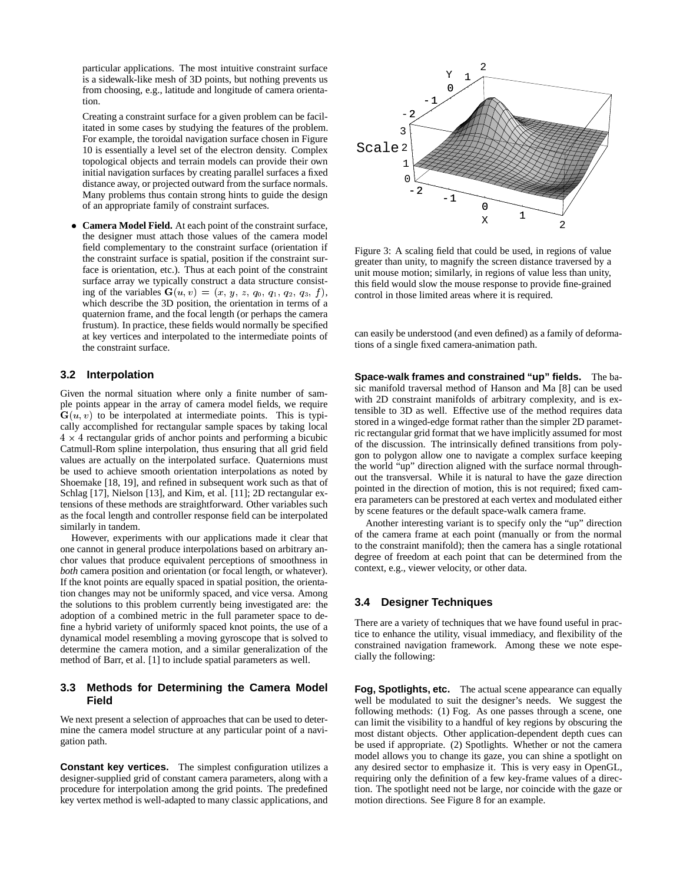particular applications. The most intuitive constraint surface is a sidewalk-like mesh of 3D points, but nothing prevents us from choosing, e.g., latitude and longitude of camera orientation.

Creating a constraint surface for a given problem can be facilitated in some cases by studying the features of the problem. For example, the toroidal navigation surface chosen in Figure 10 is essentially a level set of the electron density. Complex topological objects and terrain models can provide their own initial navigation surfaces by creating parallel surfaces a fixed distance away, or projected outward from the surface normals. Many problems thus contain strong hints to guide the design of an appropriate family of constraint surfaces.

 **Camera Model Field.** At each point of the constraint surface, the designer must attach those values of the camera model field complementary to the constraint surface (orientation if the constraint surface is spatial, position if the constraint surface is orientation, etc.). Thus at each point of the constraint surface array we typically construct a data structure consisting of the variables  $G(u, v) = (x, y, z, q_0, q_1, q_2, q_3, f)$ , which describe the 3D position, the orientation in terms of a quaternion frame, and the focal length (or perhaps the camera frustum). In practice, these fields would normally be specified at key vertices and interpolated to the intermediate points of the constraint surface.

#### **3.2 Interpolation**

Given the normal situation where only a finite number of sample points appear in the array of camera model fields, we require  $G(u, v)$  to be interpolated at intermediate points. This is typically accomplished for rectangular sample spaces by taking local  $4 \times 4$  rectangular grids of anchor points and performing a bicubic Catmull-Rom spline interpolation, thus ensuring that all grid field values are actually on the interpolated surface. Quaternions must be used to achieve smooth orientation interpolations as noted by Shoemake [18, 19], and refined in subsequent work such as that of Schlag [17], Nielson [13], and Kim, et al. [11]; 2D rectangular extensions of these methods are straightforward. Other variables such as the focal length and controller response field can be interpolated similarly in tandem.

However, experiments with our applications made it clear that one cannot in general produce interpolations based on arbitrary anchor values that produce equivalent perceptions of smoothness in *both* camera position and orientation (or focal length, or whatever). If the knot points are equally spaced in spatial position, the orientation changes may not be uniformly spaced, and vice versa. Among the solutions to this problem currently being investigated are: the adoption of a combined metric in the full parameter space to define a hybrid variety of uniformly spaced knot points, the use of a dynamical model resembling a moving gyroscope that is solved to determine the camera motion, and a similar generalization of the method of Barr, et al. [1] to include spatial parameters as well.

#### **3.3 Methods for Determining the Camera Model Field**

We next present a selection of approaches that can be used to determine the camera model structure at any particular point of a navigation path.

**Constant key vertices.** The simplest configuration utilizes a designer-supplied grid of constant camera parameters, along with a procedure for interpolation among the grid points. The predefined key vertex method is well-adapted to many classic applications, and



Figure 3: A scaling field that could be used, in regions of value greater than unity, to magnify the screen distance traversed by a unit mouse motion; similarly, in regions of value less than unity, this field would slow the mouse response to provide fine-grained control in those limited areas where it is required.

can easily be understood (and even defined) as a family of deformations of a single fixed camera-animation path.

**Space-walk frames and constrained "up" fields.** The basic manifold traversal method of Hanson and Ma [8] can be used with 2D constraint manifolds of arbitrary complexity, and is extensible to 3D as well. Effective use of the method requires data stored in a winged-edge format rather than the simpler 2D parametric rectangular grid format that we have implicitly assumed for most of the discussion. The intrinsically defined transitions from polygon to polygon allow one to navigate a complex surface keeping the world "up" direction aligned with the surface normal throughout the transversal. While it is natural to have the gaze direction pointed in the direction of motion, this is not required; fixed camera parameters can be prestored at each vertex and modulated either by scene features or the default space-walk camera frame.

Another interesting variant is to specify only the "up" direction of the camera frame at each point (manually or from the normal to the constraint manifold); then the camera has a single rotational degree of freedom at each point that can be determined from the context, e.g., viewer velocity, or other data.

#### **3.4 Designer Techniques**

There are a variety of techniques that we have found useful in practice to enhance the utility, visual immediacy, and flexibility of the constrained navigation framework. Among these we note especially the following:

**Fog, Spotlights, etc.** The actual scene appearance can equally well be modulated to suit the designer's needs. We suggest the following methods: (1) Fog. As one passes through a scene, one can limit the visibility to a handful of key regions by obscuring the most distant objects. Other application-dependent depth cues can be used if appropriate. (2) Spotlights. Whether or not the camera model allows you to change its gaze, you can shine a spotlight on any desired sector to emphasize it. This is very easy in OpenGL, requiring only the definition of a few key-frame values of a direction. The spotlight need not be large, nor coincide with the gaze or motion directions. See Figure 8 for an example.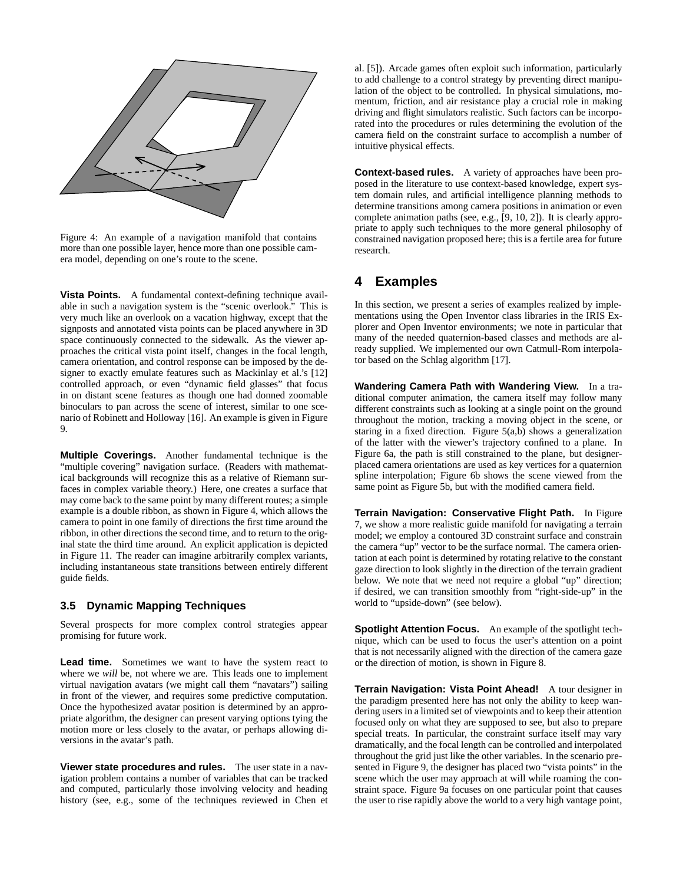

Figure 4: An example of a navigation manifold that contains more than one possible layer, hence more than one possible camera model, depending on one's route to the scene.

**Vista Points.** A fundamental context-defining technique available in such a navigation system is the "scenic overlook." This is very much like an overlook on a vacation highway, except that the signposts and annotated vista points can be placed anywhere in 3D space continuously connected to the sidewalk. As the viewer approaches the critical vista point itself, changes in the focal length, camera orientation, and control response can be imposed by the designer to exactly emulate features such as Mackinlay et al.'s [12] controlled approach, or even "dynamic field glasses" that focus in on distant scene features as though one had donned zoomable binoculars to pan across the scene of interest, similar to one scenario of Robinett and Holloway [16]. An example is given in Figure 9.

**Multiple Coverings.** Another fundamental technique is the "multiple covering" navigation surface. (Readers with mathematical backgrounds will recognize this as a relative of Riemann surfaces in complex variable theory.) Here, one creates a surface that may come back to the same point by many different routes; a simple example is a double ribbon, as shown in Figure 4, which allows the camera to point in one family of directions the first time around the ribbon, in other directions the second time, and to return to the original state the third time around. An explicit application is depicted in Figure 11. The reader can imagine arbitrarily complex variants, including instantaneous state transitions between entirely different guide fields.

#### **3.5 Dynamic Mapping Techniques**

Several prospects for more complex control strategies appear promising for future work.

Lead time. Sometimes we want to have the system react to where we *will* be, not where we are. This leads one to implement virtual navigation avatars (we might call them "navatars") sailing in front of the viewer, and requires some predictive computation. Once the hypothesized avatar position is determined by an appropriate algorithm, the designer can present varying options tying the motion more or less closely to the avatar, or perhaps allowing diversions in the avatar's path.

**Viewer state procedures and rules.** The user state in a navigation problem contains a number of variables that can be tracked and computed, particularly those involving velocity and heading history (see, e.g., some of the techniques reviewed in Chen et al. [5]). Arcade games often exploit such information, particularly to add challenge to a control strategy by preventing direct manipulation of the object to be controlled. In physical simulations, momentum, friction, and air resistance play a crucial role in making driving and flight simulators realistic. Such factors can be incorporated into the procedures or rules determining the evolution of the camera field on the constraint surface to accomplish a number of intuitive physical effects.

**Context-based rules.** A variety of approaches have been proposed in the literature to use context-based knowledge, expert system domain rules, and artificial intelligence planning methods to determine transitions among camera positions in animation or even complete animation paths (see, e.g., [9, 10, 2]). It is clearly appropriate to apply such techniques to the more general philosophy of constrained navigation proposed here; this is a fertile area for future research.

### **4 Examples**

In this section, we present a series of examples realized by implementations using the Open Inventor class libraries in the IRIS Explorer and Open Inventor environments; we note in particular that many of the needed quaternion-based classes and methods are already supplied. We implemented our own Catmull-Rom interpolator based on the Schlag algorithm [17].

**Wandering Camera Path with Wandering View.** In a traditional computer animation, the camera itself may follow many different constraints such as looking at a single point on the ground throughout the motion, tracking a moving object in the scene, or staring in a fixed direction. Figure 5(a,b) shows a generalization of the latter with the viewer's trajectory confined to a plane. In Figure 6a, the path is still constrained to the plane, but designerplaced camera orientations are used as key vertices for a quaternion spline interpolation; Figure 6b shows the scene viewed from the same point as Figure 5b, but with the modified camera field.

**Terrain Navigation: Conservative Flight Path.** In Figure 7, we show a more realistic guide manifold for navigating a terrain model; we employ a contoured 3D constraint surface and constrain the camera "up" vector to be the surface normal. The camera orientation at each point is determined by rotating relative to the constant gaze direction to look slightly in the direction of the terrain gradient below. We note that we need not require a global "up" direction; if desired, we can transition smoothly from "right-side-up" in the world to "upside-down" (see below).

**Spotlight Attention Focus.** An example of the spotlight technique, which can be used to focus the user's attention on a point that is not necessarily aligned with the direction of the camera gaze or the direction of motion, is shown in Figure 8.

**Terrain Navigation: Vista Point Ahead!** A tour designer in the paradigm presented here has not only the ability to keep wandering users in a limited set of viewpoints and to keep their attention focused only on what they are supposed to see, but also to prepare special treats. In particular, the constraint surface itself may vary dramatically, and the focal length can be controlled and interpolated throughout the grid just like the other variables. In the scenario presented in Figure 9, the designer has placed two "vista points" in the scene which the user may approach at will while roaming the constraint space. Figure 9a focuses on one particular point that causes the user to rise rapidly above the world to a very high vantage point,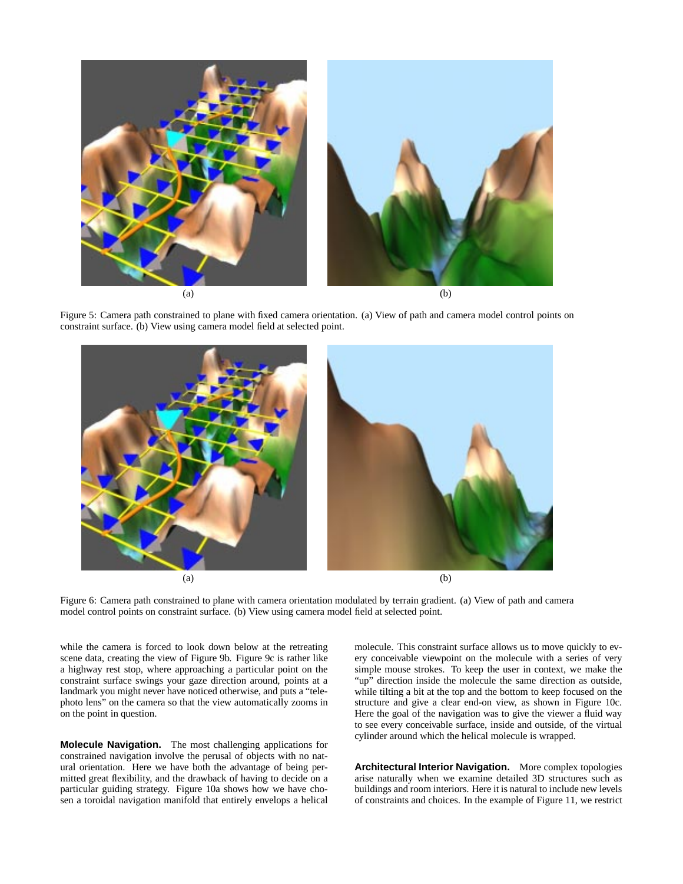

Figure 5: Camera path constrained to plane with fixed camera orientation. (a) View of path and camera model control points on constraint surface. (b) View using camera model field at selected point.



Figure 6: Camera path constrained to plane with camera orientation modulated by terrain gradient. (a) View of path and camera model control points on constraint surface. (b) View using camera model field at selected point.

while the camera is forced to look down below at the retreating scene data, creating the view of Figure 9b. Figure 9c is rather like a highway rest stop, where approaching a particular point on the constraint surface swings your gaze direction around, points at a landmark you might never have noticed otherwise, and puts a "telephoto lens" on the camera so that the view automatically zooms in on the point in question.

**Molecule Navigation.** The most challenging applications for constrained navigation involve the perusal of objects with no natural orientation. Here we have both the advantage of being permitted great flexibility, and the drawback of having to decide on a particular guiding strategy. Figure 10a shows how we have chosen a toroidal navigation manifold that entirely envelops a helical

molecule. This constraint surface allows us to move quickly to every conceivable viewpoint on the molecule with a series of very simple mouse strokes. To keep the user in context, we make the "up" direction inside the molecule the same direction as outside, while tilting a bit at the top and the bottom to keep focused on the structure and give a clear end-on view, as shown in Figure 10c. Here the goal of the navigation was to give the viewer a fluid way to see every conceivable surface, inside and outside, of the virtual cylinder around which the helical molecule is wrapped.

**Architectural Interior Navigation.** More complex topologies arise naturally when we examine detailed 3D structures such as buildings and room interiors. Here it is natural to include new levels of constraints and choices. In the example of Figure 11, we restrict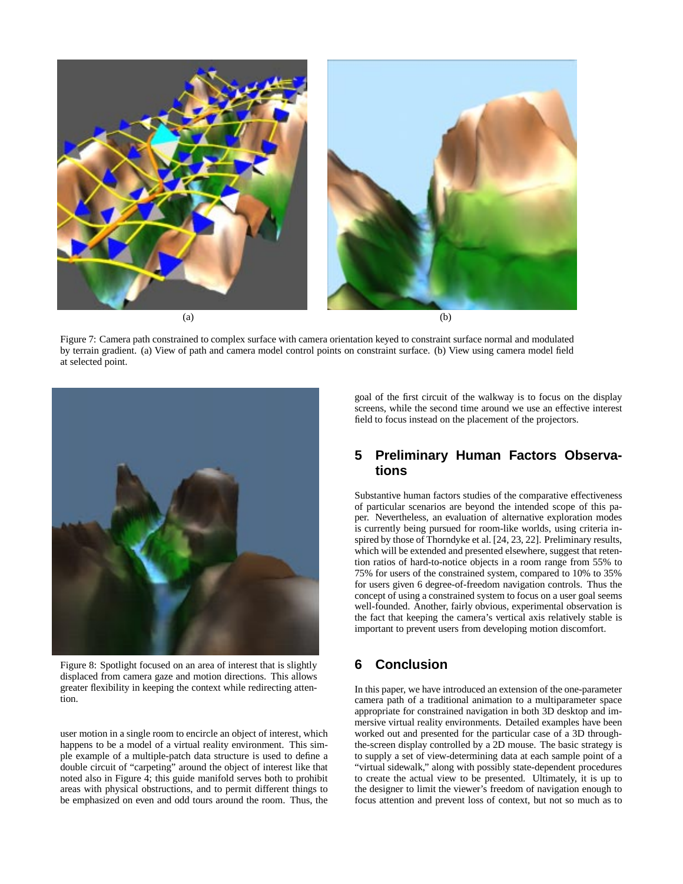

Figure 7: Camera path constrained to complex surface with camera orientation keyed to constraint surface normal and modulated by terrain gradient. (a) View of path and camera model control points on constraint surface. (b) View using camera model field at selected point.



Figure 8: Spotlight focused on an area of interest that is slightly displaced from camera gaze and motion directions. This allows greater flexibility in keeping the context while redirecting attention.

user motion in a single room to encircle an object of interest, which happens to be a model of a virtual reality environment. This simple example of a multiple-patch data structure is used to define a double circuit of "carpeting" around the object of interest like that noted also in Figure 4; this guide manifold serves both to prohibit areas with physical obstructions, and to permit different things to be emphasized on even and odd tours around the room. Thus, the goal of the first circuit of the walkway is to focus on the display screens, while the second time around we use an effective interest field to focus instead on the placement of the projectors.

### **5 Preliminary Human Factors Observations**

Substantive human factors studies of the comparative effectiveness of particular scenarios are beyond the intended scope of this paper. Nevertheless, an evaluation of alternative exploration modes is currently being pursued for room-like worlds, using criteria inspired by those of Thorndyke et al. [24, 23, 22]. Preliminary results, which will be extended and presented elsewhere, suggest that retention ratios of hard-to-notice objects in a room range from 55% to 75% for users of the constrained system, compared to 10% to 35% for users given 6 degree-of-freedom navigation controls. Thus the concept of using a constrained system to focus on a user goal seems well-founded. Another, fairly obvious, experimental observation is the fact that keeping the camera's vertical axis relatively stable is important to prevent users from developing motion discomfort.

## **6 Conclusion**

In this paper, we have introduced an extension of the one-parameter camera path of a traditional animation to a multiparameter space appropriate for constrained navigation in both 3D desktop and immersive virtual reality environments. Detailed examples have been worked out and presented for the particular case of a 3D throughthe-screen display controlled by a 2D mouse. The basic strategy is to supply a set of view-determining data at each sample point of a "virtual sidewalk," along with possibly state-dependent procedures to create the actual view to be presented. Ultimately, it is up to the designer to limit the viewer's freedom of navigation enough to focus attention and prevent loss of context, but not so much as to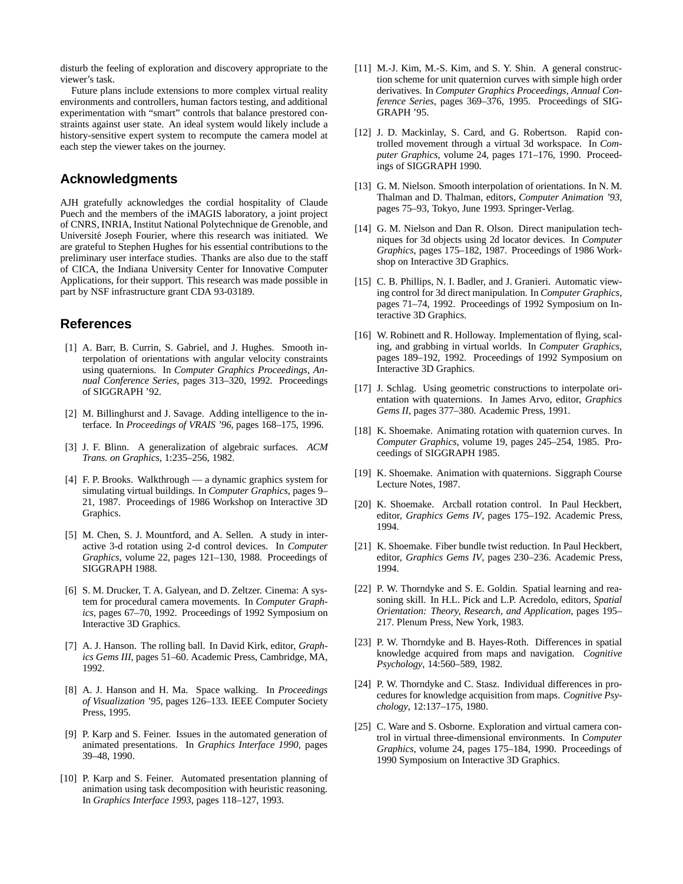disturb the feeling of exploration and discovery appropriate to the viewer's task.

Future plans include extensions to more complex virtual reality environments and controllers, human factors testing, and additional experimentation with "smart" controls that balance prestored constraints against user state. An ideal system would likely include a history-sensitive expert system to recompute the camera model at each step the viewer takes on the journey.

### **Acknowledgments**

AJH gratefully acknowledges the cordial hospitality of Claude Puech and the members of the iMAGIS laboratory, a joint project of CNRS, INRIA, Institut National Polytechnique de Grenoble, and Université Joseph Fourier, where this research was initiated. We are grateful to Stephen Hughes for his essential contributions to the preliminary user interface studies. Thanks are also due to the staff of CICA, the Indiana University Center for Innovative Computer Applications, for their support. This research was made possible in part by NSF infrastructure grant CDA 93-03189.

#### **References**

- [1] A. Barr, B. Currin, S. Gabriel, and J. Hughes. Smooth interpolation of orientations with angular velocity constraints using quaternions. In *Computer Graphics Proceedings, Annual Conference Series*, pages 313–320, 1992. Proceedings of SIGGRAPH '92.
- [2] M. Billinghurst and J. Savage. Adding intelligence to the interface. In *Proceedings of VRAIS '96*, pages 168–175, 1996.
- [3] J. F. Blinn. A generalization of algebraic surfaces. *ACM Trans. on Graphics*, 1:235–256, 1982.
- [4] F. P. Brooks. Walkthrough a dynamic graphics system for simulating virtual buildings. In *Computer Graphics*, pages 9– 21, 1987. Proceedings of 1986 Workshop on Interactive 3D Graphics.
- [5] M. Chen, S. J. Mountford, and A. Sellen. A study in interactive 3-d rotation using 2-d control devices. In *Computer Graphics*, volume 22, pages 121–130, 1988. Proceedings of SIGGRAPH 1988.
- [6] S. M. Drucker, T. A. Galyean, and D. Zeltzer. Cinema: A system for procedural camera movements. In *Computer Graphics*, pages 67–70, 1992. Proceedings of 1992 Symposium on Interactive 3D Graphics.
- [7] A. J. Hanson. The rolling ball. In David Kirk, editor, *Graphics Gems III*, pages 51–60. Academic Press, Cambridge, MA, 1992.
- [8] A. J. Hanson and H. Ma. Space walking. In *Proceedings of Visualization '95*, pages 126–133. IEEE Computer Society Press, 1995.
- [9] P. Karp and S. Feiner. Issues in the automated generation of animated presentations. In *Graphics Interface 1990*, pages 39–48, 1990.
- [10] P. Karp and S. Feiner. Automated presentation planning of animation using task decomposition with heuristic reasoning. In *Graphics Interface 1993*, pages 118–127, 1993.
- [11] M.-J. Kim, M.-S. Kim, and S. Y. Shin. A general construction scheme for unit quaternion curves with simple high order derivatives. In *Computer Graphics Proceedings, Annual Conference Series*, pages 369–376, 1995. Proceedings of SIG-GRAPH '95.
- [12] J. D. Mackinlay, S. Card, and G. Robertson. Rapid controlled movement through a virtual 3d workspace. In *Computer Graphics*, volume 24, pages 171–176, 1990. Proceedings of SIGGRAPH 1990.
- [13] G. M. Nielson. Smooth interpolation of orientations. In N. M. Thalman and D. Thalman, editors, *Computer Animation '93*, pages 75–93, Tokyo, June 1993. Springer-Verlag.
- [14] G. M. Nielson and Dan R. Olson. Direct manipulation techniques for 3d objects using 2d locator devices. In *Computer Graphics*, pages 175–182, 1987. Proceedings of 1986 Workshop on Interactive 3D Graphics.
- [15] C. B. Phillips, N. I. Badler, and J. Granieri. Automatic viewing control for 3d direct manipulation. In *Computer Graphics*, pages 71–74, 1992. Proceedings of 1992 Symposium on Interactive 3D Graphics.
- [16] W. Robinett and R. Holloway. Implementation of flying, scaling, and grabbing in virtual worlds. In *Computer Graphics*, pages 189–192, 1992. Proceedings of 1992 Symposium on Interactive 3D Graphics.
- [17] J. Schlag. Using geometric constructions to interpolate orientation with quaternions. In James Arvo, editor, *Graphics Gems II*, pages 377–380. Academic Press, 1991.
- [18] K. Shoemake. Animating rotation with quaternion curves. In *Computer Graphics*, volume 19, pages 245–254, 1985. Proceedings of SIGGRAPH 1985.
- [19] K. Shoemake. Animation with quaternions. Siggraph Course Lecture Notes, 1987.
- [20] K. Shoemake. Arcball rotation control. In Paul Heckbert, editor, *Graphics Gems IV*, pages 175–192. Academic Press, 1994.
- [21] K. Shoemake. Fiber bundle twist reduction. In Paul Heckbert, editor, *Graphics Gems IV*, pages 230–236. Academic Press, 1994.
- [22] P. W. Thorndyke and S. E. Goldin. Spatial learning and reasoning skill. In H.L. Pick and L.P. Acredolo, editors, *Spatial Orientation: Theory, Research, and Application*, pages 195– 217. Plenum Press, New York, 1983.
- [23] P. W. Thorndyke and B. Hayes-Roth. Differences in spatial knowledge acquired from maps and navigation. *Cognitive Psychology*, 14:560–589, 1982.
- [24] P. W. Thorndyke and C. Stasz. Individual differences in procedures for knowledge acquisition from maps. *Cognitive Psychology*, 12:137–175, 1980.
- [25] C. Ware and S. Osborne. Exploration and virtual camera control in virtual three-dimensional environments. In *Computer Graphics*, volume 24, pages 175–184, 1990. Proceedings of 1990 Symposium on Interactive 3D Graphics.